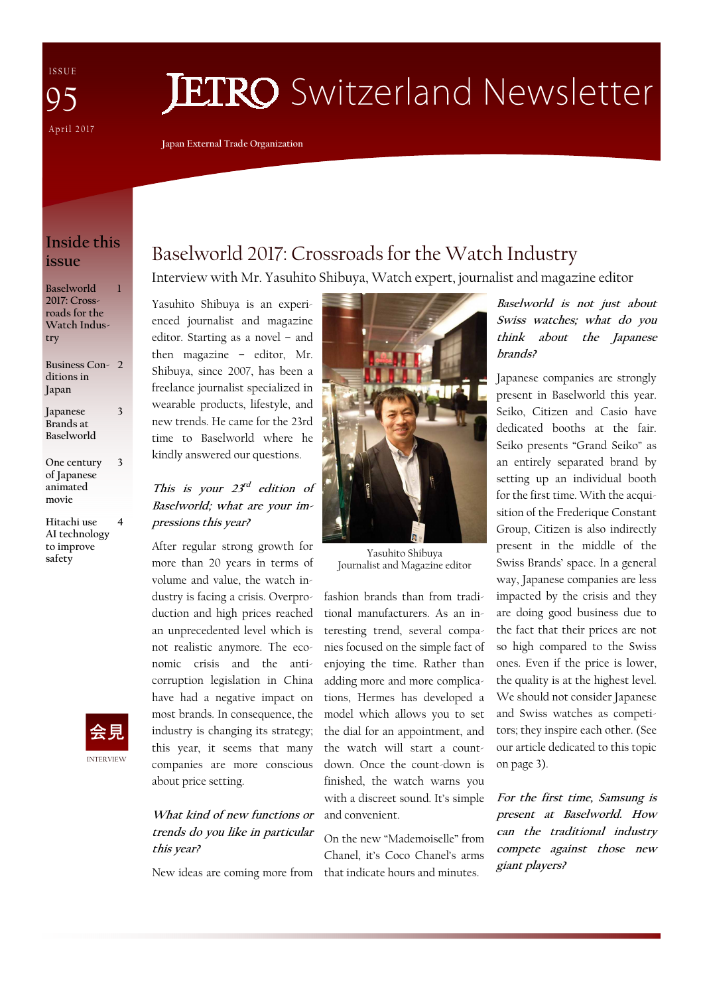I S S U E April 2017 95

# **JETRO** Switzerland Newsletter

**Japan External Trade Organization** 

### **Inside this issue**

**1** 

**3** 

**4** 

**Baselworld 2017: Crossroads for the Watch Industry** 

**Business Con-2 ditions in Japan** 

**Japanese Brands at Baselworld 3** 

- **One century of Japanese animated movie**
- **Hitachi use AI technology to improve safety**



# Baselworld 2017: Crossroads for the Watch Industry

Interview with Mr. Yasuhito Shibuya, Watch expert, journalist and magazine editor

Yasuhito Shibuya is an experienced journalist and magazine editor. Starting as a novel – and then magazine – editor, Mr. Shibuya, since 2007, has been a freelance journalist specialized in wearable products, lifestyle, and new trends. He came for the 23rd time to Baselworld where he kindly answered our questions.

### This is your  $23<sup>rd</sup>$  edition of **Baselworld; what are your impressions this year?**

After regular strong growth for more than 20 years in terms of volume and value, the watch industry is facing a crisis. Overproduction and high prices reached an unprecedented level which is not realistic anymore. The economic crisis and the anticorruption legislation in China have had a negative impact on most brands. In consequence, the industry is changing its strategy; this year, it seems that many companies are more conscious about price setting.

### **What kind of new functions or trends do you like in particular this year?**

New ideas are coming more from that indicate hours and minutes.



Yasuhito Shibuya Journalist and Magazine editor

fashion brands than from traditional manufacturers. As an interesting trend, several companies focused on the simple fact of enjoying the time. Rather than adding more and more complications, Hermes has developed a model which allows you to set the dial for an appointment, and the watch will start a countdown. Once the count-down is finished, the watch warns you with a discreet sound. It's simple and convenient.

On the new "Mademoiselle" from Chanel, it's Coco Chanel's arms

**Baselworld is not just about Swiss watches; what do you think about the Japanese brands?** 

Japanese companies are strongly present in Baselworld this year. Seiko, Citizen and Casio have dedicated booths at the fair. Seiko presents "Grand Seiko" as an entirely separated brand by setting up an individual booth for the first time. With the acquisition of the Frederique Constant Group, Citizen is also indirectly present in the middle of the Swiss Brands' space. In a general way, Japanese companies are less impacted by the crisis and they are doing good business due to the fact that their prices are not so high compared to the Swiss ones. Even if the price is lower, the quality is at the highest level. We should not consider Japanese and Swiss watches as competitors; they inspire each other. (See our article dedicated to this topic on page 3).

**For the first time, Samsung is present at Baselworld. How can the traditional industry compete against those new giant players?**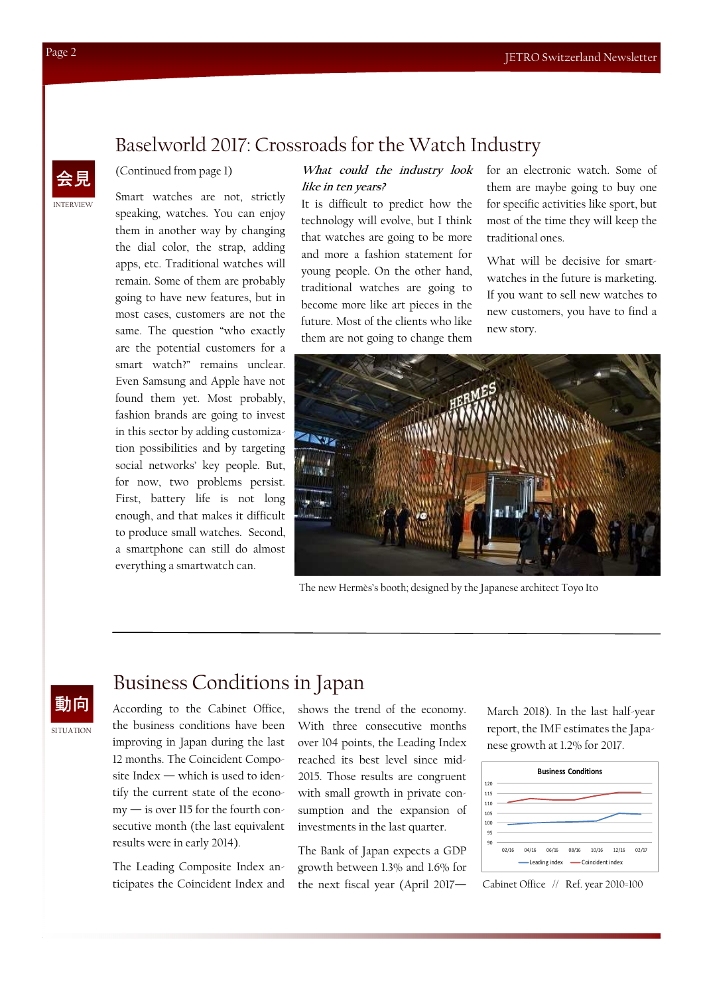### INTERVIEW 会見

# Baselworld 2017: Crossroads for the Watch Industry

### (Continued from page 1)

Smart watches are not, strictly speaking, watches. You can enjoy them in another way by changing the dial color, the strap, adding apps, etc. Traditional watches will remain. Some of them are probably going to have new features, but in most cases, customers are not the same. The question "who exactly are the potential customers for a smart watch?" remains unclear. Even Samsung and Apple have not found them yet. Most probably, fashion brands are going to invest in this sector by adding customization possibilities and by targeting social networks' key people. But, for now, two problems persist. First, battery life is not long enough, and that makes it difficult to produce small watches. Second, a smartphone can still do almost everything a smartwatch can.

### **What could the industry look like in ten years?**

It is difficult to predict how the technology will evolve, but I think that watches are going to be more and more a fashion statement for young people. On the other hand, traditional watches are going to become more like art pieces in the future. Most of the clients who like them are not going to change them

for an electronic watch. Some of them are maybe going to buy one for specific activities like sport, but most of the time they will keep the traditional ones.

What will be decisive for smartwatches in the future is marketing. If you want to sell new watches to new customers, you have to find a new story.



The new Hermès's booth; designed by the Japanese architect Toyo Ito

### SITUATION

# Business Conditions in Japan

the business conditions have been improving in Japan during the last 12 months. The Coincident Composite Index — which is used to identify the current state of the economy — is over 115 for the fourth consecutive month (the last equivalent results were in early 2014).

The Leading Composite Index anticipates the Coincident Index and

動向 According to the Cabinet Office, shows the trend of the economy. With three consecutive months over 104 points, the Leading Index reached its best level since mid-2015. Those results are congruent with small growth in private consumption and the expansion of investments in the last quarter.

> The Bank of Japan expects a GDP growth between 1.3% and 1.6% for the next fiscal year (April 2017— Cabinet Office // Ref. year 2010=100

March 2018). In the last half-year report, the IMF estimates the Japanese growth at 1.2% for 2017.

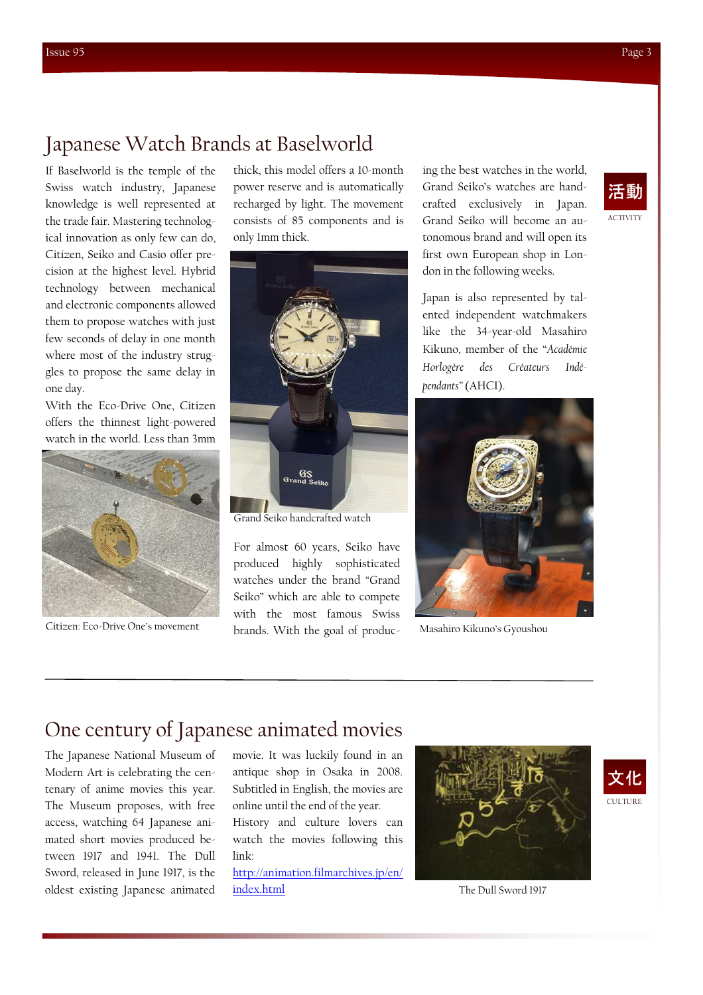# Japanese Watch Brands at Baselworld

If Baselworld is the temple of the Swiss watch industry, Japanese knowledge is well represented at the trade fair. Mastering technological innovation as only few can do, Citizen, Seiko and Casio offer precision at the highest level. Hybrid technology between mechanical and electronic components allowed them to propose watches with just few seconds of delay in one month where most of the industry struggles to propose the same delay in one day.

With the Eco-Drive One, Citizen offers the thinnest light-powered watch in the world. Less than 3mm



Citizen: Eco-Drive One's movement

thick, this model offers a 10-month power reserve and is automatically recharged by light. The movement consists of 85 components and is only 1mm thick.



Grand Seiko handcrafted watch

For almost 60 years, Seiko have produced highly sophisticated watches under the brand "Grand Seiko" which are able to compete with the most famous Swiss brands. With the goal of producing the best watches in the world, Grand Seiko's watches are handcrafted exclusively in Japan. Grand Seiko will become an autonomous brand and will open its first own European shop in London in the following weeks.

Japan is also represented by talented independent watchmakers like the 34-year-old Masahiro Kikuno, member of the "*Académie Horlogère des Créateurs Indépendants"* (AHCI).



Masahiro Kikuno's Gyoushou

# One century of Japanese animated movies

The Japanese National Museum of Modern Art is celebrating the centenary of anime movies this year. The Museum proposes, with free access, watching 64 Japanese animated short movies produced between 1917 and 1941. The Dull Sword, released in June 1917, is the oldest existing Japanese animated movie. It was luckily found in an antique shop in Osaka in 2008. Subtitled in English, the movies are online until the end of the year. History and culture lovers can watch the movies following this link:

http://animation.filmarchives.jp/en/ index.html





The Dull Sword 1917